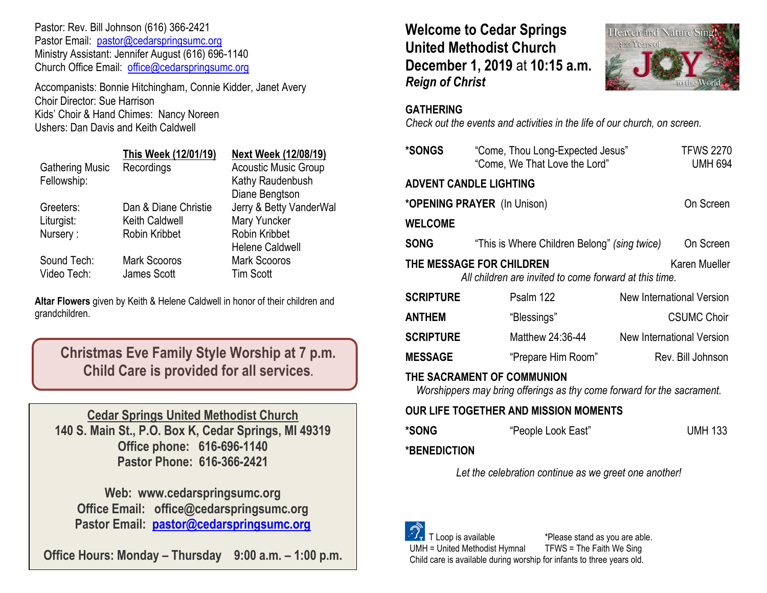Pastor: Rev. Bill Johnson (616) 366-2421 Pastor Email: [pastor@cedarspringsumc.org](mailto:pastor@cedarspringsumc.org) Ministry Assistant: Jennifer August (616) 696-1140 Church Office Email: [office@cedarspringsumc.org](mailto:office@cedarspringsumc.org)

Accompanists: Bonnie Hitchingham, Connie Kidder, Janet Avery Choir Director: Sue Harrison Kids' Choir & Hand Chimes: Nancy Noreen Ushers: Dan Davis and Keith Caldwell

|                        | This Week (12/01/19)  | <b>Next Week (12/08/19)</b> |
|------------------------|-----------------------|-----------------------------|
| <b>Gathering Music</b> | Recordings            | <b>Acoustic Music Group</b> |
| Fellowship:            |                       | Kathy Raudenbush            |
|                        |                       | Diane Bengtson              |
| Greeters:              | Dan & Diane Christie  | Jerry & Betty VanderWal     |
| Liturgist:             | <b>Keith Caldwell</b> | Mary Yuncker                |
| Nursery:               | Robin Kribbet         | Robin Kribbet               |
|                        |                       | <b>Helene Caldwell</b>      |
| Sound Tech:            | <b>Mark Scooros</b>   | <b>Mark Scooros</b>         |
| Video Tech:            | James Scott           | <b>Tim Scott</b>            |
|                        |                       |                             |

**Altar Flowers** given by Keith & Helene Caldwell in honor of their children and grandchildren.

**Christmas Eve Family Style Worship at 7 p.m. Child Care is provided for all services.**

**Cedar Springs United Methodist Church 140 S. Main St., P.O. Box K, Cedar Springs, MI 49319 Office phone: 616-696-1140 Pastor Phone: 616-366-2421**

**Web: www.cedarspringsumc.org Office Email: office@cedarspringsumc.org Pastor Email: [pastor@cedarspringsumc.org](mailto:pastor@cedarspringsumc.org)**

**Office Hours: Monday – Thursday 9:00 a.m. – 1:00 p.m.**

**Welcome to Cedar Springs United Methodist Church December 1, 2019** at **10:15 a.m.**  *Reign of Christ*



## **GATHERING**

*Check out the events and activities in the life of our church, on screen.*

| *SONGS                                                                                               | "Come, Thou Long-Expected Jesus"<br>"Come, We That Love the Lord" |  | <b>TFWS 2270</b><br><b>UMH 694</b> |  |  |
|------------------------------------------------------------------------------------------------------|-------------------------------------------------------------------|--|------------------------------------|--|--|
| <b>ADVENT CANDLE LIGHTING</b>                                                                        |                                                                   |  |                                    |  |  |
| *OPENING PRAYER (In Unison)                                                                          |                                                                   |  | On Screen                          |  |  |
| <b>WELCOME</b>                                                                                       |                                                                   |  |                                    |  |  |
| <b>SONG</b>                                                                                          | "This is Where Children Belong" (sing twice)                      |  | On Screen                          |  |  |
| THE MESSAGE FOR CHILDREN<br>Karen Mueller<br>All children are invited to come forward at this time.  |                                                                   |  |                                    |  |  |
| <b>SCRIPTURE</b>                                                                                     | Psalm 122                                                         |  | <b>New International Version</b>   |  |  |
| <b>ANTHEM</b>                                                                                        | "Blessings"                                                       |  | <b>CSUMC Choir</b>                 |  |  |
| <b>SCRIPTURE</b>                                                                                     | Matthew 24:36-44                                                  |  | New International Version          |  |  |
| <b>MESSAGE</b>                                                                                       | "Prepare Him Room"                                                |  | Rev. Bill Johnson                  |  |  |
| THE SACRAMENT OF COMMUNION<br>Worshippers may bring offerings as thy come forward for the sacrament. |                                                                   |  |                                    |  |  |
| OUR LIFE TOGETHER AND MISSION MOMENTS                                                                |                                                                   |  |                                    |  |  |
| *SONG                                                                                                | "People Look East"                                                |  | <b>UMH 133</b>                     |  |  |
| <b>*BENEDICTION</b>                                                                                  |                                                                   |  |                                    |  |  |

*Let the celebration continue as we greet one another!*

 T Loop is available \*Please stand as you are able. UMH = United Methodist Hymnal TFWS = The Faith We Sing Child care is available during worship for infants to three years old.